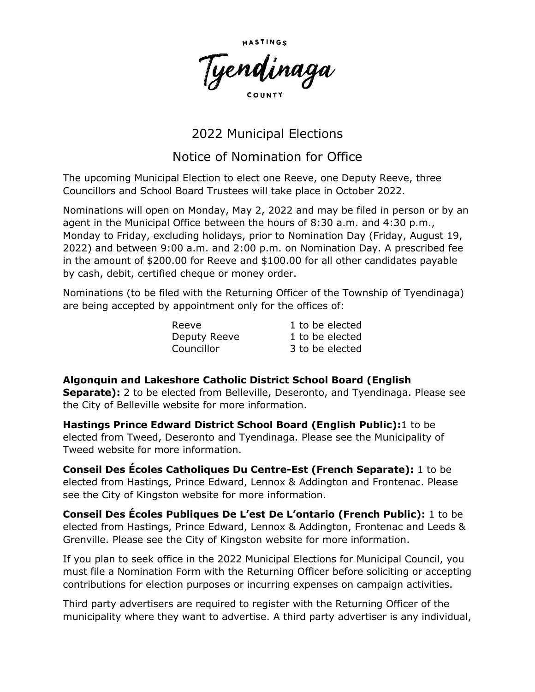

## 2022 Municipal Elections

## Notice of Nomination for Office

The upcoming Municipal Election to elect one Reeve, one Deputy Reeve, three Councillors and School Board Trustees will take place in October 2022.

Nominations will open on Monday, May 2, 2022 and may be filed in person or by an agent in the Municipal Office between the hours of 8:30 a.m. and 4:30 p.m., Monday to Friday, excluding holidays, prior to Nomination Day (Friday, August 19, 2022) and between 9:00 a.m. and 2:00 p.m. on Nomination Day. A prescribed fee in the amount of \$200.00 for Reeve and \$100.00 for all other candidates payable by cash, debit, certified cheque or money order.

Nominations (to be filed with the Returning Officer of the Township of Tyendinaga) are being accepted by appointment only for the offices of:

| Reeve        | 1 to be elected |
|--------------|-----------------|
| Deputy Reeve | 1 to be elected |
| Councillor   | 3 to be elected |

**Algonquin and Lakeshore Catholic District School Board (English Separate):** 2 to be elected from Belleville, Deseronto, and Tyendinaga. Please see the City of Belleville website for more information.

**Hastings Prince Edward District School Board (English Public):**1 to be elected from Tweed, Deseronto and Tyendinaga. Please see the Municipality of Tweed website for more information.

**Conseil Des Écoles Catholiques Du Centre-Est (French Separate):** 1 to be elected from Hastings, Prince Edward, Lennox & Addington and Frontenac. Please see the City of Kingston website for more information.

**Conseil Des Écoles Publiques De L'est De L'ontario (French Public):** 1 to be elected from Hastings, Prince Edward, Lennox & Addington, Frontenac and Leeds & Grenville. Please see the City of Kingston website for more information.

If you plan to seek office in the 2022 Municipal Elections for Municipal Council, you must file a Nomination Form with the Returning Officer before soliciting or accepting contributions for election purposes or incurring expenses on campaign activities.

Third party advertisers are required to register with the Returning Officer of the municipality where they want to advertise. A third party advertiser is any individual,